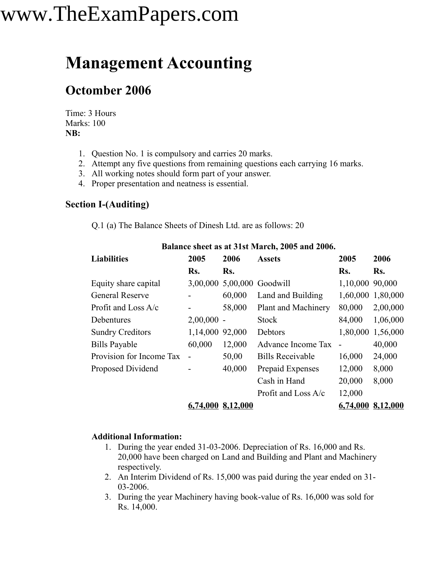#### **Management Accounting**

#### **Octomber 2006**

Time: 3 Hours Marks: 100 **NB:**

- 1. Question No. 1 is compulsory and carries 20 marks.
- 2. Attempt any five questions from remaining questions each carrying 16 marks.
- 3. All working notes should form part of your answer.
- 4. Proper presentation and neatness is essential.

#### **Section I-(Auditing)**

Q.1 (a) The Balance Sheets of Dinesh Ltd. are as follows: 20

| <b>Liabilities</b>       | 2005            | 2006              | <b>Assets</b>              | 2005            | 2006                  |
|--------------------------|-----------------|-------------------|----------------------------|-----------------|-----------------------|
|                          | Rs.             | Rs.               |                            | Rs.             | Rs.                   |
| Equity share capital     |                 |                   | 3,00,000 5,00,000 Goodwill | 1,10,000 90,000 |                       |
| <b>General Reserve</b>   |                 | 60,000            | Land and Building          |                 | 1,60,000 1,80,000     |
| Profit and Loss A/c      |                 | 58,000            | Plant and Machinery        | 80,000          | 2,00,000              |
| Debentures               | $2,00,000 -$    |                   | <b>Stock</b>               | 84,000          | 1,06,000              |
| <b>Sundry Creditors</b>  | 1,14,000 92,000 |                   | Debtors                    |                 | 1,80,000 1,56,000     |
| <b>Bills Payable</b>     | 60,000          | 12,000            | Advance Income Tax         |                 | 40,000                |
| Provision for Income Tax |                 | 50,00             | <b>Bills Receivable</b>    | 16,000          | 24,000                |
| Proposed Dividend        |                 | 40,000            | Prepaid Expenses           | 12,000          | 8,000                 |
|                          |                 |                   | Cash in Hand               | 20,000          | 8,000                 |
|                          |                 |                   | Profit and Loss $A/c$      | 12,000          |                       |
|                          |                 | 6,74,000 8,12,000 |                            |                 | $6,74,000$ $8,12,000$ |

#### **Balance sheet as at 31st March, 2005 and 2006.**

#### **Additional Information:**

- 1. During the year ended 31-03-2006. Depreciation of Rs. 16,000 and Rs. 20,000 have been charged on Land and Building and Plant and Machinery respectively.
- 2. An Interim Dividend of Rs. 15,000 was paid during the year ended on 31- 03-2006.
- 3. During the year Machinery having book-value of Rs. 16,000 was sold for Rs. 14,000.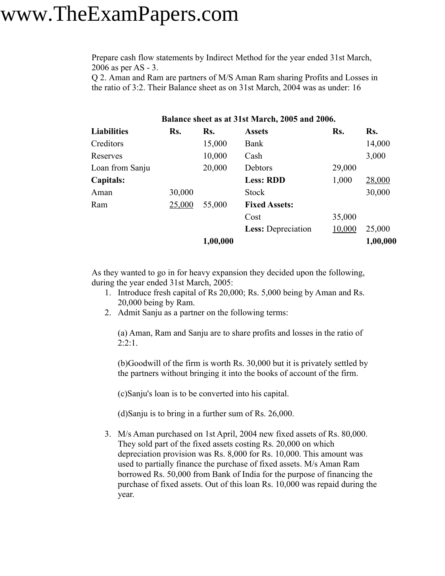Prepare cash flow statements by Indirect Method for the year ended 31st March, 2006 as per AS - 3.

Q 2. Aman and Ram are partners of M/S Aman Ram sharing Profits and Losses in the ratio of 3:2. Their Balance sheet as on 31st March, 2004 was as under: 16

|                    |        |          | Balance sheet as at 31st March, 2005 and 2006. |        |          |
|--------------------|--------|----------|------------------------------------------------|--------|----------|
| <b>Liabilities</b> | Rs.    | Rs.      | <b>Assets</b>                                  | Rs.    | Rs.      |
| Creditors          |        | 15,000   | Bank                                           |        | 14,000   |
| Reserves           |        | 10,000   | Cash                                           |        | 3,000    |
| Loan from Sanju    |        | 20,000   | Debtors                                        | 29,000 |          |
| Capitals:          |        |          | <b>Less: RDD</b>                               | 1,000  | 28,000   |
| Aman               | 30,000 |          | <b>Stock</b>                                   |        | 30,000   |
| Ram                | 25,000 | 55,000   | <b>Fixed Assets:</b>                           |        |          |
|                    |        |          | Cost                                           | 35,000 |          |
|                    |        |          | <b>Less:</b> Depreciation                      | 10,000 | 25,000   |
|                    |        | 1,00,000 |                                                |        | 1,00,000 |

As they wanted to go in for heavy expansion they decided upon the following, during the year ended 31st March, 2005:

- 1. Introduce fresh capital of Rs 20,000; Rs. 5,000 being by Aman and Rs. 20,000 being by Ram.
- 2. Admit Sanju as a partner on the following terms:

(a) Aman, Ram and Sanju are to share profits and losses in the ratio of  $2:2:1$ .

(b)Goodwill of the firm is worth Rs. 30,000 but it is privately settled by the partners without bringing it into the books of account of the firm.

(c)Sanju's loan is to be converted into his capital.

(d)Sanju is to bring in a further sum of Rs. 26,000.

3. M/s Aman purchased on 1st April, 2004 new fixed assets of Rs. 80,000. They sold part of the fixed assets costing Rs. 20,000 on which depreciation provision was Rs. 8,000 for Rs. 10,000. This amount was used to partially finance the purchase of fixed assets. M/s Aman Ram borrowed Rs. 50,000 from Bank of India for the purpose of financing the purchase of fixed assets. Out of this loan Rs. 10,000 was repaid during the year.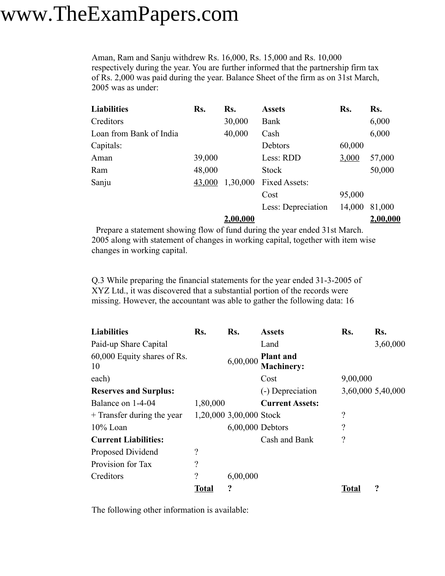Aman, Ram and Sanju withdrew Rs. 16,000, Rs. 15,000 and Rs. 10,000 respectively during the year. You are further informed that the partnership firm tax of Rs. 2,000 was paid during the year. Balance Sheet of the firm as on 31st March, 2005 was as under:

| <b>Liabilities</b>      | Rs.    | Rs.      | <b>Assets</b>      | Rs.    | Rs.      |
|-------------------------|--------|----------|--------------------|--------|----------|
| Creditors               |        | 30,000   | Bank               |        | 6,000    |
| Loan from Bank of India |        | 40,000   | Cash               |        | 6,000    |
| Capitals:               |        |          | Debtors            | 60,000 |          |
| Aman                    | 39,000 |          | Less: RDD          | 3,000  | 57,000   |
| Ram                     | 48,000 |          | <b>Stock</b>       |        | 50,000   |
| Sanju                   | 43,000 | 1,30,000 | Fixed Assets:      |        |          |
|                         |        |          | Cost               | 95,000 |          |
|                         |        |          | Less: Depreciation | 14,000 | 81,000   |
|                         |        | 2,00,000 |                    |        | 2,00,000 |

 Prepare a statement showing flow of fund during the year ended 31st March. 2005 along with statement of changes in working capital, together with item wise changes in working capital.

Q.3 While preparing the financial statements for the year ended 31-3-2005 of XYZ Ltd., it was discovered that a substantial portion of the records were missing. However, the accountant was able to gather the following data: 16

| <b>Liabilities</b>                | Rs.          | Rs.                     | <b>Assets</b>                         | Rs.               | Rs.                 |
|-----------------------------------|--------------|-------------------------|---------------------------------------|-------------------|---------------------|
| Paid-up Share Capital             |              |                         | Land                                  |                   | 3,60,000            |
| 60,000 Equity shares of Rs.<br>10 |              | 6,00,000                | <b>Plant</b> and<br><b>Machinery:</b> |                   |                     |
| each)                             |              |                         | Cost                                  | 9,00,000          |                     |
| <b>Reserves and Surplus:</b>      |              |                         | (-) Depreciation                      | 3,60,000 5,40,000 |                     |
| Balance on 1-4-04                 | 1,80,000     |                         | <b>Current Assets:</b>                |                   |                     |
| + Transfer during the year        |              | 1,20,000 3,00,000 Stock |                                       | ?                 |                     |
| $10\%$ Loan                       |              | $6,00,000$ Debtors      |                                       | ?                 |                     |
| <b>Current Liabilities:</b>       |              |                         | Cash and Bank                         | ?                 |                     |
| Proposed Dividend                 | ?            |                         |                                       |                   |                     |
| Provision for Tax                 | ?            |                         |                                       |                   |                     |
| Creditors                         | ?            | 6,00,000                |                                       |                   |                     |
|                                   | <b>Total</b> | ?                       |                                       | <b>Total</b>      | $\ddot{\mathbf{c}}$ |

The following other information is available: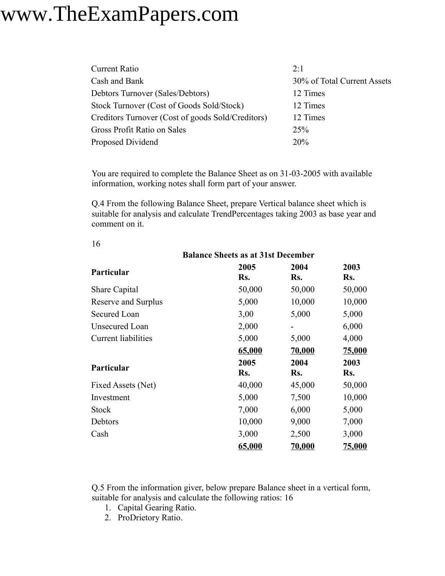16

| <b>Current Ratio</b>                              | 2.1                         |
|---------------------------------------------------|-----------------------------|
| Cash and Bank                                     | 30% of Total Current Assets |
| Debtors Turnover (Sales/Debtors)                  | 12 Times                    |
| Stock Turnover (Cost of Goods Sold/Stock)         | 12 Times                    |
| Creditors Turnover (Cost of goods Sold/Creditors) | 12 Times                    |
| Gross Profit Ratio on Sales                       | 25%                         |
| Proposed Dividend                                 | 20%                         |

You are required to complete the Balance Sheet as on 31-03-2005 with available information, working notes shall form part of your answer.

Q.4 From the following Balance Sheet, prepare Vertical balance sheet which is suitable for analysis and calculate TrendPercentages taking 2003 as base year and comment on it.

| <b>Balance Sheets as at 31st December</b> |             |             |             |  |
|-------------------------------------------|-------------|-------------|-------------|--|
| Particular                                | 2005<br>Rs. | 2004<br>Rs. | 2003<br>Rs. |  |
| Share Capital                             | 50,000      | 50,000      | 50,000      |  |
| <b>Reserve and Surplus</b>                | 5,000       | 10,000      | 10,000      |  |
| Secured Loan                              | 3,00        | 5,000       | 5,000       |  |
| Unsecured Loan                            | 2,000       |             | 6,000       |  |
| <b>Current liabilities</b>                | 5,000       | 5,000       | 4,000       |  |
|                                           | 65,000      | 70,000      | 75,000      |  |
| Particular                                | 2005<br>Rs. | 2004<br>Rs. | 2003<br>Rs. |  |
| Fixed Assets (Net)                        | 40,000      | 45,000      | 50,000      |  |
| Investment                                | 5,000       | 7,500       | 10,000      |  |
| <b>Stock</b>                              | 7,000       | 6,000       | 5,000       |  |
| Debtors                                   | 10,000      | 9,000       | 7,000       |  |
| Cash                                      | 3,000       | 2,500       | 3,000       |  |
|                                           | 65,000      | 70,000      | 75,000      |  |

Q.5 From the information giver, below prepare Balance sheet in a vertical form, suitable for analysis and calculate the following ratios: 16

- 1. Capital Gearing Ratio.
- 2. ProDrietory Ratio.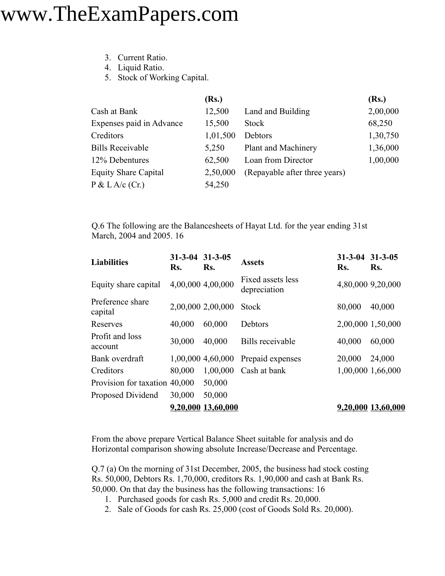- 3. Current Ratio.
- 4. Liquid Ratio.
- 5. Stock of Working Capital.

|                             | (Rs.)    |                               | (Rs.)    |
|-----------------------------|----------|-------------------------------|----------|
| Cash at Bank                | 12,500   | Land and Building             | 2,00,000 |
| Expenses paid in Advance    | 15,500   | <b>Stock</b>                  | 68,250   |
| Creditors                   | 1,01,500 | Debtors                       | 1,30,750 |
| <b>Bills Receivable</b>     | 5,250    | Plant and Machinery           | 1,36,000 |
| 12% Debentures              | 62,500   | Loan from Director            | 1,00,000 |
| <b>Equity Share Capital</b> | 2,50,000 | (Repayable after three years) |          |
| P & L A/c (Cr.)             | 54,250   |                               |          |

Q.6 The following are the Balancesheets of Hayat Ltd. for the year ending 31st March, 2004 and 2005. 16

| <b>Liabilities</b>            | 31-3-04 31-3-05<br>Rs. | Rs.                | <b>Assets</b>                     | $31 - 3 - 04$ 31 - 3 - 05<br>Rs. | Rs.                |
|-------------------------------|------------------------|--------------------|-----------------------------------|----------------------------------|--------------------|
| Equity share capital          |                        | 4,00,000 4,00,000  | Fixed assets less<br>depreciation | 4,80,000 9,20,000                |                    |
| Preference share<br>capital   |                        | 2,00,000 2,00,000  | <b>Stock</b>                      | 80,000                           | 40,000             |
| Reserves                      | 40,000                 | 60,000             | Debtors                           | 2,00,000 1,50,000                |                    |
| Profit and loss<br>account    | 30,000                 | 40,000             | Bills receivable                  | 40,000                           | 60,000             |
| Bank overdraft                |                        | 1,00,000 4,60,000  | Prepaid expenses                  | 20,000                           | 24,000             |
| Creditors                     | 80,000                 | 1,00,000           | Cash at bank                      |                                  | 1,00,000 1,66,000  |
| Provision for taxation 40,000 |                        | 50,000             |                                   |                                  |                    |
| Proposed Dividend             | 30,000                 | 50,000             |                                   |                                  |                    |
|                               |                        | 9,20,000 13,60,000 |                                   |                                  | 9,20,000 13,60,000 |

From the above prepare Vertical Balance Sheet suitable for analysis and do Horizontal comparison showing absolute Increase/Decrease and Percentage.

Q.7 (a) On the morning of 31st December, 2005, the business had stock costing Rs. 50,000, Debtors Rs. 1,70,000, creditors Rs. 1,90,000 and cash at Bank Rs. 50,000. On that day the business has the following transactions: 16

- 1. Purchased goods for cash Rs. 5,000 and credit Rs. 20,000.
- 2. Sale of Goods for cash Rs. 25,000 (cost of Goods Sold Rs. 20,000).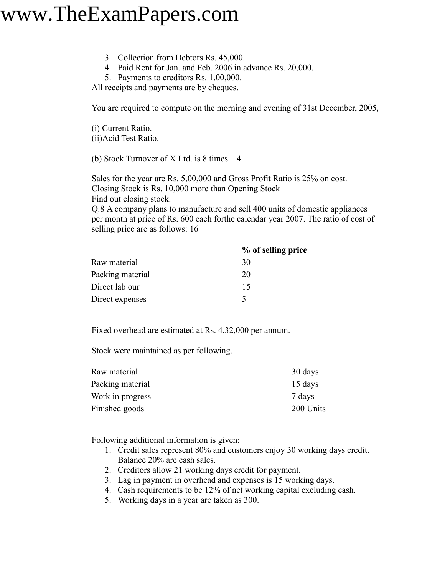- 3. Collection from Debtors Rs. 45,000.
- 4. Paid Rent for Jan. and Feb. 2006 in advance Rs. 20,000.
- 5. Payments to creditors Rs. 1,00,000.

All receipts and payments are by cheques.

You are required to compute on the morning and evening of 31st December, 2005,

(i) Current Ratio. (ii)Acid Test Ratio.

(b) Stock Turnover of X Ltd. is 8 times. 4

Sales for the year are Rs. 5,00,000 and Gross Profit Ratio is 25% on cost. Closing Stock is Rs. 10,000 more than Opening Stock Find out closing stock.

Q.8 A company plans to manufacture and sell 400 units of domestic appliances per month at price of Rs. 600 each forthe calendar year 2007. The ratio of cost of selling price are as follows: 16

|                  | % of selling price |
|------------------|--------------------|
| Raw material     | 30                 |
| Packing material | 20                 |
| Direct lab our   | 15                 |
| Direct expenses  |                    |

Fixed overhead are estimated at Rs. 4,32,000 per annum.

Stock were maintained as per following.

| 30 days   |
|-----------|
| 15 days   |
| 7 days    |
| 200 Units |
|           |

Following additional information is given:

- 1. Credit sales represent 80% and customers enjoy 30 working days credit. Balance 20% are cash sales.
- 2. Creditors allow 21 working days credit for payment.
- 3. Lag in payment in overhead and expenses is 15 working days.
- 4. Cash requirements to be 12% of net working capital excluding cash.
- 5. Working days in a year are taken as 300.